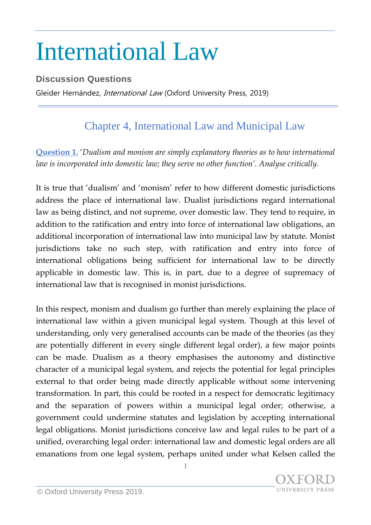## International Law

**Discussion Questions**

Gleider Hernández, *International Law* (Oxford University Press, 2019)

## Chapter 4, International Law and Municipal Law

**Question 1.** '*Dualism and monism are simply explanatory theories as to how international law is incorporated into domestic law; they serve no other function'. Analyse critically.*

It is true that 'dualism' and 'monism' refer to how different domestic jurisdictions address the place of international law. Dualist jurisdictions regard international law as being distinct, and not supreme, over domestic law. They tend to require, in addition to the ratification and entry into force of international law obligations, an additional incorporation of international law into municipal law by statute. Monist jurisdictions take no such step, with ratification and entry into force of international obligations being sufficient for international law to be directly applicable in domestic law. This is, in part, due to a degree of supremacy of international law that is recognised in monist jurisdictions.

In this respect, monism and dualism go further than merely explaining the place of international law within a given municipal legal system. Though at this level of understanding, only very generalised accounts can be made of the theories (as they are potentially different in every single different legal order), a few major points can be made. Dualism as a theory emphasises the autonomy and distinctive character of a municipal legal system, and rejects the potential for legal principles external to that order being made directly applicable without some intervening transformation. In part, this could be rooted in a respect for democratic legitimacy and the separation of powers within a municipal legal order; otherwise, a government could undermine statutes and legislation by accepting international legal obligations. Monist jurisdictions conceive law and legal rules to be part of a unified, overarching legal order: international law and domestic legal orders are all emanations from one legal system, perhaps united under what Kelsen called the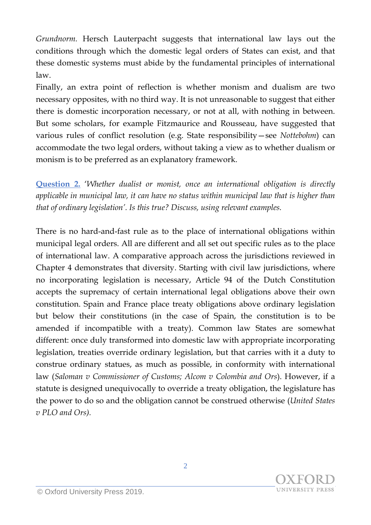*Grundnorm.* Hersch Lauterpacht suggests that international law lays out the conditions through which the domestic legal orders of States can exist, and that these domestic systems must abide by the fundamental principles of international law.

Finally, an extra point of reflection is whether monism and dualism are two necessary opposites, with no third way. It is not unreasonable to suggest that either there is domestic incorporation necessary, or not at all, with nothing in between. But some scholars, for example Fitzmaurice and Rousseau, have suggested that various rules of conflict resolution (e.g. State responsibility—see *Nottebohm*) can accommodate the two legal orders, without taking a view as to whether dualism or monism is to be preferred as an explanatory framework.

**Question 2.** '*Whether dualist or monist, once an international obligation is directly applicable in municipal law, it can have no status within municipal law that is higher than that of ordinary legislation'. Is this true? Discuss, using relevant examples.*

There is no hard-and-fast rule as to the place of international obligations within municipal legal orders. All are different and all set out specific rules as to the place of international law. A comparative approach across the jurisdictions reviewed in Chapter 4 demonstrates that diversity. Starting with civil law jurisdictions, where no incorporating legislation is necessary, Article 94 of the Dutch Constitution accepts the supremacy of certain international legal obligations above their own constitution. Spain and France place treaty obligations above ordinary legislation but below their constitutions (in the case of Spain, the constitution is to be amended if incompatible with a treaty). Common law States are somewhat different: once duly transformed into domestic law with appropriate incorporating legislation, treaties override ordinary legislation, but that carries with it a duty to construe ordinary statues, as much as possible, in conformity with international law (*Saloman v Commissioner of Customs; Alcom v Colombia and Ors*). However, if a statute is designed unequivocally to override a treaty obligation, the legislature has the power to do so and the obligation cannot be construed otherwise (*United States v PLO and Ors).*